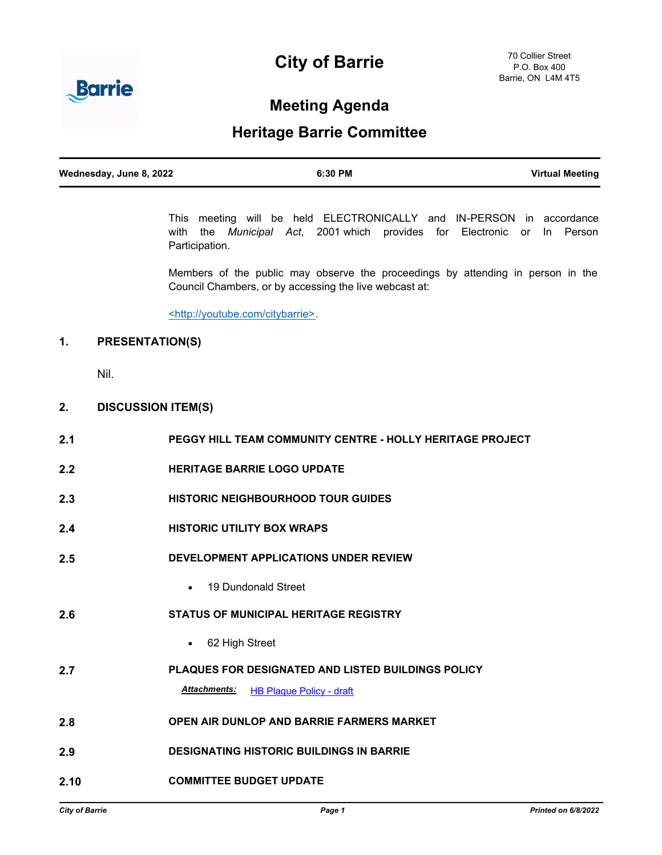# **City of Barrie**



# **Meeting Agenda**

# **Heritage Barrie Committee**

| Wednesday, June 8, 2022 | 6:30 PM | <b>Virtual Meeting</b> |
|-------------------------|---------|------------------------|
|                         |         |                        |

This meeting will be held ELECTRONICALLY and IN-PERSON in accordance with the *Municipal Act*, 2001 which provides for Electronic or In Person Participation.

Members of the public may observe the proceedings by attending in person in the Council Chambers, or by accessing the live webcast at:

<http://youtube.com/citybarrie>.

## **1. PRESENTATION(S)**

Nil.

### **2. DISCUSSION ITEM(S)**

| 2.1  | <b>PEGGY HILL TEAM COMMUNITY CENTRE - HOLLY HERITAGE PROJECT</b> |
|------|------------------------------------------------------------------|
| 2.2  | <b>HERITAGE BARRIE LOGO UPDATE</b>                               |
| 2.3  | <b>HISTORIC NEIGHBOURHOOD TOUR GUIDES</b>                        |
| 2.4  | <b>HISTORIC UTILITY BOX WRAPS</b>                                |
| 2.5  | DEVELOPMENT APPLICATIONS UNDER REVIEW                            |
|      | • 19 Dundonald Street                                            |
| 2.6  | <b>STATUS OF MUNICIPAL HERITAGE REGISTRY</b>                     |
|      | 62 High Street                                                   |
| 2.7  | <b>PLAQUES FOR DESIGNATED AND LISTED BUILDINGS POLICY</b>        |
|      | <b>Attachments:</b><br><b>HB Plaque Policy - draft</b>           |
| 2.8  | <b>OPEN AIR DUNLOP AND BARRIE FARMERS MARKET</b>                 |
| 2.9  | <b>DESIGNATING HISTORIC BUILDINGS IN BARRIE</b>                  |
| 2.10 | <b>COMMITTEE BUDGET UPDATE</b>                                   |